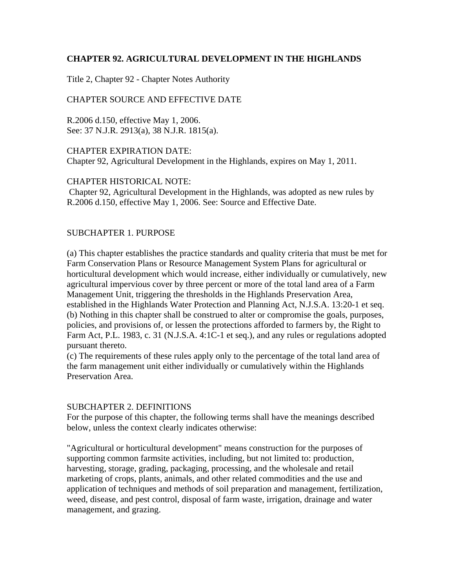## **CHAPTER 92. AGRICULTURAL DEVELOPMENT IN THE HIGHLANDS**

Title 2, Chapter 92 - Chapter Notes Authority

## CHAPTER SOURCE AND EFFECTIVE DATE

R.2006 d.150, effective May 1, 2006. See: 37 N.J.R. 2913(a), 38 N.J.R. 1815(a).

CHAPTER EXPIRATION DATE: Chapter 92, Agricultural Development in the Highlands, expires on May 1, 2011.

CHAPTER HISTORICAL NOTE:

 Chapter 92, Agricultural Development in the Highlands, was adopted as new rules by R.2006 d.150, effective May 1, 2006. See: Source and Effective Date.

## SUBCHAPTER 1. PURPOSE

(a) This chapter establishes the practice standards and quality criteria that must be met for Farm Conservation Plans or Resource Management System Plans for agricultural or horticultural development which would increase, either individually or cumulatively, new agricultural impervious cover by three percent or more of the total land area of a Farm Management Unit, triggering the thresholds in the Highlands Preservation Area, established in the Highlands Water Protection and Planning Act, N.J.S.A. 13:20-1 et seq. (b) Nothing in this chapter shall be construed to alter or compromise the goals, purposes, policies, and provisions of, or lessen the protections afforded to farmers by, the Right to Farm Act, P.L. 1983, c. 31 (N.J.S.A. 4:1C-1 et seq.), and any rules or regulations adopted pursuant thereto.

(c) The requirements of these rules apply only to the percentage of the total land area of the farm management unit either individually or cumulatively within the Highlands Preservation Area.

### SUBCHAPTER 2. DEFINITIONS

For the purpose of this chapter, the following terms shall have the meanings described below, unless the context clearly indicates otherwise:

"Agricultural or horticultural development" means construction for the purposes of supporting common farmsite activities, including, but not limited to: production, harvesting, storage, grading, packaging, processing, and the wholesale and retail marketing of crops, plants, animals, and other related commodities and the use and application of techniques and methods of soil preparation and management, fertilization, weed, disease, and pest control, disposal of farm waste, irrigation, drainage and water management, and grazing.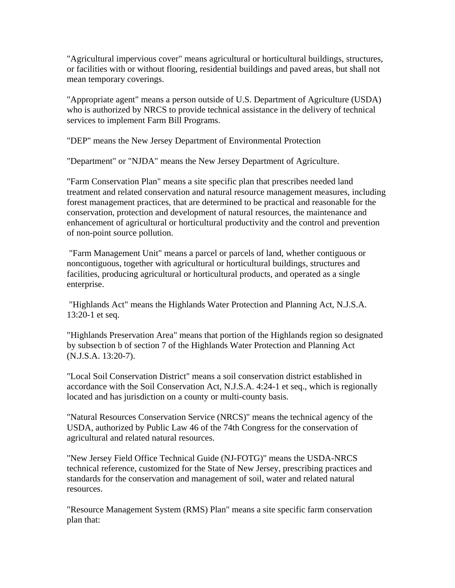"Agricultural impervious cover" means agricultural or horticultural buildings, structures, or facilities with or without flooring, residential buildings and paved areas, but shall not mean temporary coverings.

"Appropriate agent" means a person outside of U.S. Department of Agriculture (USDA) who is authorized by NRCS to provide technical assistance in the delivery of technical services to implement Farm Bill Programs.

"DEP" means the New Jersey Department of Environmental Protection

"Department" or "NJDA" means the New Jersey Department of Agriculture.

"Farm Conservation Plan" means a site specific plan that prescribes needed land treatment and related conservation and natural resource management measures, including forest management practices, that are determined to be practical and reasonable for the conservation, protection and development of natural resources, the maintenance and enhancement of agricultural or horticultural productivity and the control and prevention of non-point source pollution.

 "Farm Management Unit" means a parcel or parcels of land, whether contiguous or noncontiguous, together with agricultural or horticultural buildings, structures and facilities, producing agricultural or horticultural products, and operated as a single enterprise.

 "Highlands Act" means the Highlands Water Protection and Planning Act, N.J.S.A. 13:20-1 et seq.

"Highlands Preservation Area" means that portion of the Highlands region so designated by subsection b of section 7 of the Highlands Water Protection and Planning Act (N.J.S.A. 13:20-7).

"Local Soil Conservation District" means a soil conservation district established in accordance with the Soil Conservation Act, N.J.S.A. 4:24-1 et seq., which is regionally located and has jurisdiction on a county or multi-county basis.

"Natural Resources Conservation Service (NRCS)" means the technical agency of the USDA, authorized by Public Law 46 of the 74th Congress for the conservation of agricultural and related natural resources.

"New Jersey Field Office Technical Guide (NJ-FOTG)" means the USDA-NRCS technical reference, customized for the State of New Jersey, prescribing practices and standards for the conservation and management of soil, water and related natural resources.

"Resource Management System (RMS) Plan" means a site specific farm conservation plan that: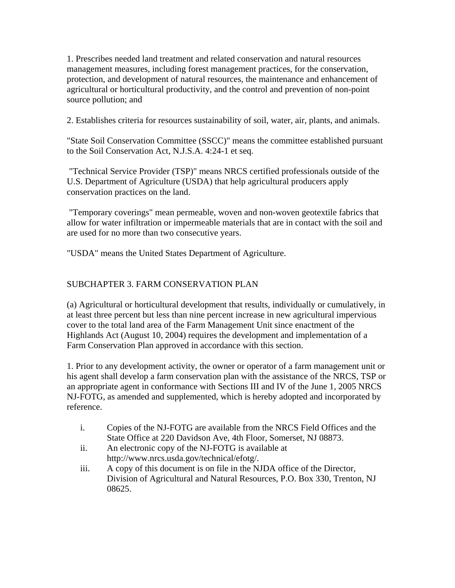1. Prescribes needed land treatment and related conservation and natural resources management measures, including forest management practices, for the conservation, protection, and development of natural resources, the maintenance and enhancement of agricultural or horticultural productivity, and the control and prevention of non-point source pollution; and

2. Establishes criteria for resources sustainability of soil, water, air, plants, and animals.

"State Soil Conservation Committee (SSCC)" means the committee established pursuant to the Soil Conservation Act, N.J.S.A. 4:24-1 et seq.

 "Technical Service Provider (TSP)" means NRCS certified professionals outside of the U.S. Department of Agriculture (USDA) that help agricultural producers apply conservation practices on the land.

 "Temporary coverings" mean permeable, woven and non-woven geotextile fabrics that allow for water infiltration or impermeable materials that are in contact with the soil and are used for no more than two consecutive years.

"USDA" means the United States Department of Agriculture.

# SUBCHAPTER 3. FARM CONSERVATION PLAN

(a) Agricultural or horticultural development that results, individually or cumulatively, in at least three percent but less than nine percent increase in new agricultural impervious cover to the total land area of the Farm Management Unit since enactment of the Highlands Act (August 10, 2004) requires the development and implementation of a Farm Conservation Plan approved in accordance with this section.

1. Prior to any development activity, the owner or operator of a farm management unit or his agent shall develop a farm conservation plan with the assistance of the NRCS, TSP or an appropriate agent in conformance with Sections III and IV of the June 1, 2005 NRCS NJ-FOTG, as amended and supplemented, which is hereby adopted and incorporated by reference.

- i. Copies of the NJ-FOTG are available from the NRCS Field Offices and the State Office at 220 Davidson Ave, 4th Floor, Somerset, NJ 08873.
- ii. An electronic copy of the NJ-FOTG is available at http://www.nrcs.usda.gov/technical/efotg/.
- iii. A copy of this document is on file in the NJDA office of the Director, Division of Agricultural and Natural Resources, P.O. Box 330, Trenton, NJ 08625.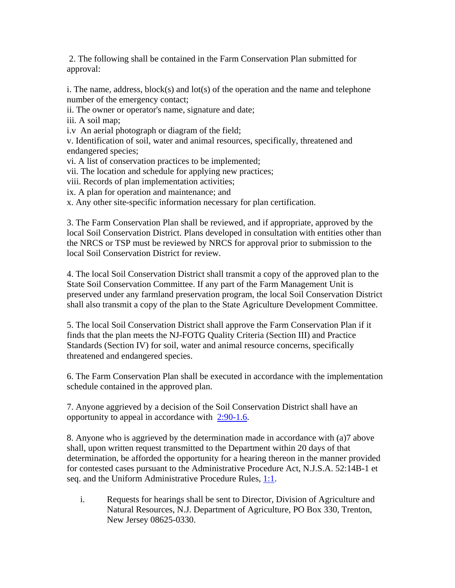2. The following shall be contained in the Farm Conservation Plan submitted for approval:

i. The name, address, block(s) and lot(s) of the operation and the name and telephone number of the emergency contact;

ii. The owner or operator's name, signature and date;

iii. A soil map;

i.v An aerial photograph or diagram of the field;

v. Identification of soil, water and animal resources, specifically, threatened and endangered species;

vi. A list of conservation practices to be implemented;

vii. The location and schedule for applying new practices;

viii. Records of plan implementation activities;

ix. A plan for operation and maintenance; and

x. Any other site-specific information necessary for plan certification.

3. The Farm Conservation Plan shall be reviewed, and if appropriate, approved by the local Soil Conservation District. Plans developed in consultation with entities other than the NRCS or TSP must be reviewed by NRCS for approval prior to submission to the local Soil Conservation District for review.

4. The local Soil Conservation District shall transmit a copy of the approved plan to the State Soil Conservation Committee. If any part of the Farm Management Unit is preserved under any farmland preservation program, the local Soil Conservation District shall also transmit a copy of the plan to the State Agriculture Development Committee.

5. The local Soil Conservation District shall approve the Farm Conservation Plan if it finds that the plan meets the NJ-FOTG Quality Criteria (Section III) and Practice Standards (Section IV) for soil, water and animal resource concerns, specifically threatened and endangered species.

6. The Farm Conservation Plan shall be executed in accordance with the implementation schedule contained in the approved plan.

7. Anyone aggrieved by a decision of the Soil Conservation District shall have an opportunity to appeal in accordance with 2:90-1.6.

8. Anyone who is aggrieved by the determination made in accordance with (a)7 above shall, upon written request transmitted to the Department within 20 days of that determination, be afforded the opportunity for a hearing thereon in the manner provided for contested cases pursuant to the Administrative Procedure Act, N.J.S.A. 52:14B-1 et seq. and the Uniform Administrative Procedure Rules, 1:1.

i. Requests for hearings shall be sent to Director, Division of Agriculture and Natural Resources, N.J. Department of Agriculture, PO Box 330, Trenton, New Jersey 08625-0330.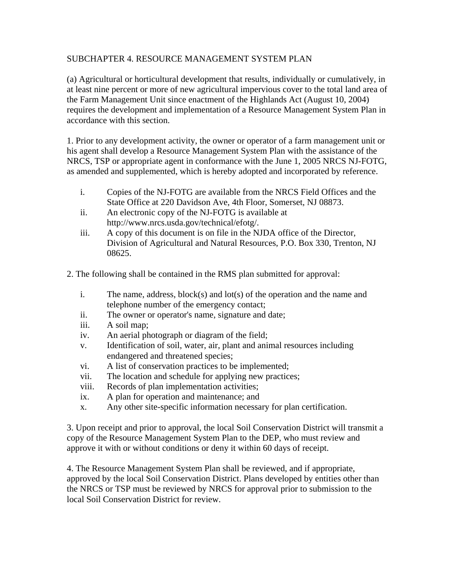# SUBCHAPTER 4. RESOURCE MANAGEMENT SYSTEM PLAN

(a) Agricultural or horticultural development that results, individually or cumulatively, in at least nine percent or more of new agricultural impervious cover to the total land area of the Farm Management Unit since enactment of the Highlands Act (August 10, 2004) requires the development and implementation of a Resource Management System Plan in accordance with this section.

1. Prior to any development activity, the owner or operator of a farm management unit or his agent shall develop a Resource Management System Plan with the assistance of the NRCS, TSP or appropriate agent in conformance with the June 1, 2005 NRCS NJ-FOTG, as amended and supplemented, which is hereby adopted and incorporated by reference.

- i. Copies of the NJ-FOTG are available from the NRCS Field Offices and the State Office at 220 Davidson Ave, 4th Floor, Somerset, NJ 08873.
- ii. An electronic copy of the NJ-FOTG is available at http://www.nrcs.usda.gov/technical/efotg/.
- iii. A copy of this document is on file in the NJDA office of the Director, Division of Agricultural and Natural Resources, P.O. Box 330, Trenton, NJ 08625.

2. The following shall be contained in the RMS plan submitted for approval:

- i. The name, address, block(s) and lot(s) of the operation and the name and telephone number of the emergency contact;
- ii. The owner or operator's name, signature and date;
- iii. A soil map;
- iv. An aerial photograph or diagram of the field;
- v. Identification of soil, water, air, plant and animal resources including endangered and threatened species;
- vi. A list of conservation practices to be implemented;
- vii. The location and schedule for applying new practices;
- viii. Records of plan implementation activities;
- ix. A plan for operation and maintenance; and
- x. Any other site-specific information necessary for plan certification.

3. Upon receipt and prior to approval, the local Soil Conservation District will transmit a copy of the Resource Management System Plan to the DEP, who must review and approve it with or without conditions or deny it within 60 days of receipt.

4. The Resource Management System Plan shall be reviewed, and if appropriate, approved by the local Soil Conservation District. Plans developed by entities other than the NRCS or TSP must be reviewed by NRCS for approval prior to submission to the local Soil Conservation District for review.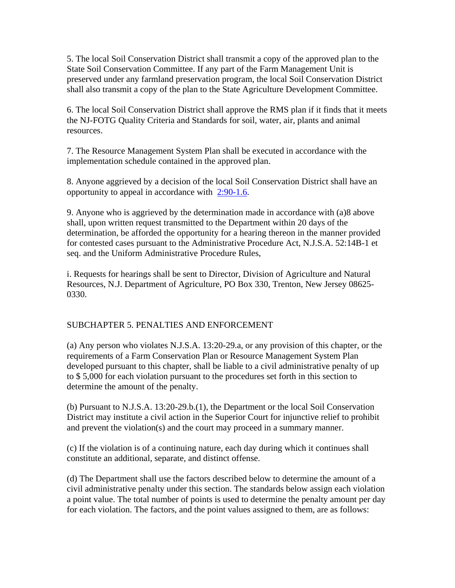5. The local Soil Conservation District shall transmit a copy of the approved plan to the State Soil Conservation Committee. If any part of the Farm Management Unit is preserved under any farmland preservation program, the local Soil Conservation District shall also transmit a copy of the plan to the State Agriculture Development Committee.

6. The local Soil Conservation District shall approve the RMS plan if it finds that it meets the NJ-FOTG Quality Criteria and Standards for soil, water, air, plants and animal resources.

7. The Resource Management System Plan shall be executed in accordance with the implementation schedule contained in the approved plan.

8. Anyone aggrieved by a decision of the local Soil Conservation District shall have an opportunity to appeal in accordance with  $2:90-1.6$ .

9. Anyone who is aggrieved by the determination made in accordance with (a)8 above shall, upon written request transmitted to the Department within 20 days of the determination, be afforded the opportunity for a hearing thereon in the manner provided for contested cases pursuant to the Administrative Procedure Act, N.J.S.A. 52:14B-1 et seq. and the Uniform Administrative Procedure Rules,

i. Requests for hearings shall be sent to Director, Division of Agriculture and Natural Resources, N.J. Department of Agriculture, PO Box 330, Trenton, New Jersey 08625- 0330.

# SUBCHAPTER 5. PENALTIES AND ENFORCEMENT

(a) Any person who violates N.J.S.A. 13:20-29.a, or any provision of this chapter, or the requirements of a Farm Conservation Plan or Resource Management System Plan developed pursuant to this chapter, shall be liable to a civil administrative penalty of up to \$ 5,000 for each violation pursuant to the procedures set forth in this section to determine the amount of the penalty.

(b) Pursuant to N.J.S.A. 13:20-29.b.(1), the Department or the local Soil Conservation District may institute a civil action in the Superior Court for injunctive relief to prohibit and prevent the violation(s) and the court may proceed in a summary manner.

(c) If the violation is of a continuing nature, each day during which it continues shall constitute an additional, separate, and distinct offense.

(d) The Department shall use the factors described below to determine the amount of a civil administrative penalty under this section. The standards below assign each violation a point value. The total number of points is used to determine the penalty amount per day for each violation. The factors, and the point values assigned to them, are as follows: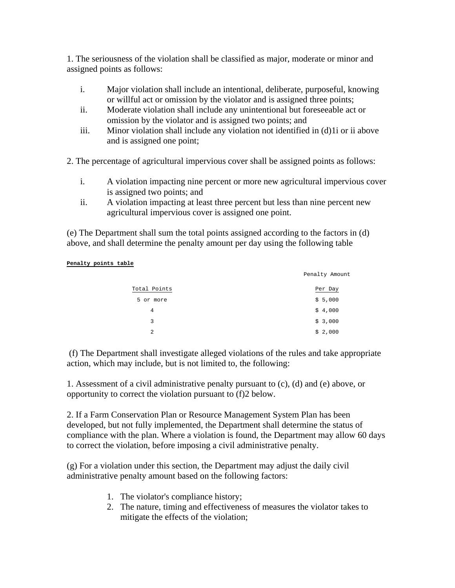1. The seriousness of the violation shall be classified as major, moderate or minor and assigned points as follows:

- i. Major violation shall include an intentional, deliberate, purposeful, knowing or willful act or omission by the violator and is assigned three points;
- ii. Moderate violation shall include any unintentional but foreseeable act or omission by the violator and is assigned two points; and
- iii. Minor violation shall include any violation not identified in (d)1i or ii above and is assigned one point;

2. The percentage of agricultural impervious cover shall be assigned points as follows:

- i. A violation impacting nine percent or more new agricultural impervious cover is assigned two points; and
- ii. A violation impacting at least three percent but less than nine percent new agricultural impervious cover is assigned one point.

(e) The Department shall sum the total points assigned according to the factors in (d) above, and shall determine the penalty amount per day using the following table

#### **Penalty points table**

|                | Penalty Amount |
|----------------|----------------|
| Total Points   | Per Day        |
| 5 or more      | \$5,000        |
| 4              | \$4,000        |
| 3              | \$3,000        |
| $\overline{2}$ | \$2,000        |

 (f) The Department shall investigate alleged violations of the rules and take appropriate action, which may include, but is not limited to, the following:

1. Assessment of a civil administrative penalty pursuant to (c), (d) and (e) above, or opportunity to correct the violation pursuant to (f)2 below.

2. If a Farm Conservation Plan or Resource Management System Plan has been developed, but not fully implemented, the Department shall determine the status of compliance with the plan. Where a violation is found, the Department may allow 60 days to correct the violation, before imposing a civil administrative penalty.

(g) For a violation under this section, the Department may adjust the daily civil administrative penalty amount based on the following factors:

- 1. The violator's compliance history;
- 2. The nature, timing and effectiveness of measures the violator takes to mitigate the effects of the violation;